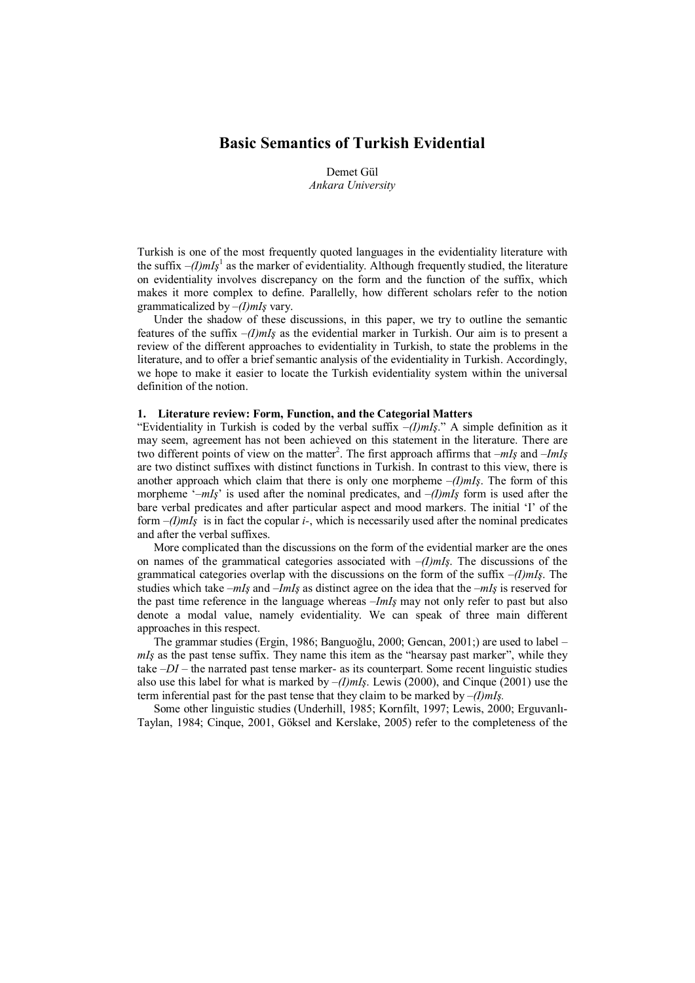# Basic Semantics of Turkish Evidential

Demet Gül Ankara University

Turkish is one of the most frequently quoted languages in the evidentiality literature with the suffix  $-(1) m I<sub>s</sub><sup>1</sup>$  as the marker of evidentiality. Although frequently studied, the literature on evidentiality involves discrepancy on the form and the function of the suffix, which makes it more complex to define. Parallelly, how different scholars refer to the notion grammaticalized by  $-(I)$ mIş vary.

Under the shadow of these discussions, in this paper, we try to outline the semantic features of the suffix  $-(I)$ mIş as the evidential marker in Turkish. Our aim is to present a review of the different approaches to evidentiality in Turkish, to state the problems in the literature, and to offer a brief semantic analysis of the evidentiality in Turkish. Accordingly, we hope to make it easier to locate the Turkish evidentiality system within the universal definition of the notion.

## 1. Literature review: Form, Function, and the Categorial Matters

"Evidentiality in Turkish is coded by the verbal suffix  $-(I)$ mIş." A simple definition as it may seem, agreement has not been achieved on this statement in the literature. There are two different points of view on the matter<sup>2</sup>. The first approach affirms that  $-mI<sub>S</sub>$  and  $-ImI<sub>S</sub>$ are two distinct suffixes with distinct functions in Turkish. In contrast to this view, there is another approach which claim that there is only one morpheme  $-(I)$ mIs. The form of this morpheme '– $mI<sub>S</sub>$ ' is used after the nominal predicates, and  $-(I)mI<sub>S</sub>$  form is used after the bare verbal predicates and after particular aspect and mood markers. The initial 'I' of the form  $-(I)$ mIs is in fact the copular *i*-, which is necessarily used after the nominal predicates and after the verbal suffixes.

More complicated than the discussions on the form of the evidential marker are the ones on names of the grammatical categories associated with  $-(I)$ mIş. The discussions of the grammatical categories overlap with the discussions on the form of the suffix  $-(I)$ mIs. The studies which take  $-mI<sub>S</sub>$  and  $-ImI<sub>S</sub>$  as distinct agree on the idea that the  $-mI<sub>S</sub>$  is reserved for the past time reference in the language whereas –ImIş may not only refer to past but also denote a modal value, namely evidentiality. We can speak of three main different approaches in this respect.

The grammar studies (Ergin, 1986; Banguoğlu, 2000; Gencan, 2001;) are used to label –  $mI<sub>S</sub>$  as the past tense suffix. They name this item as the "hearsay past marker", while they take  $-DI$  – the narrated past tense marker- as its counterpart. Some recent linguistic studies also use this label for what is marked by  $-(I) mI<sub>s</sub>$ . Lewis (2000), and Cinque (2001) use the term inferential past for the past tense that they claim to be marked by  $-(I) mI<sub>s</sub>$ .

Some other linguistic studies (Underhill, 1985; Kornfilt, 1997; Lewis, 2000; Erguvanlı-Taylan, 1984; Cinque, 2001, Göksel and Kerslake, 2005) refer to the completeness of the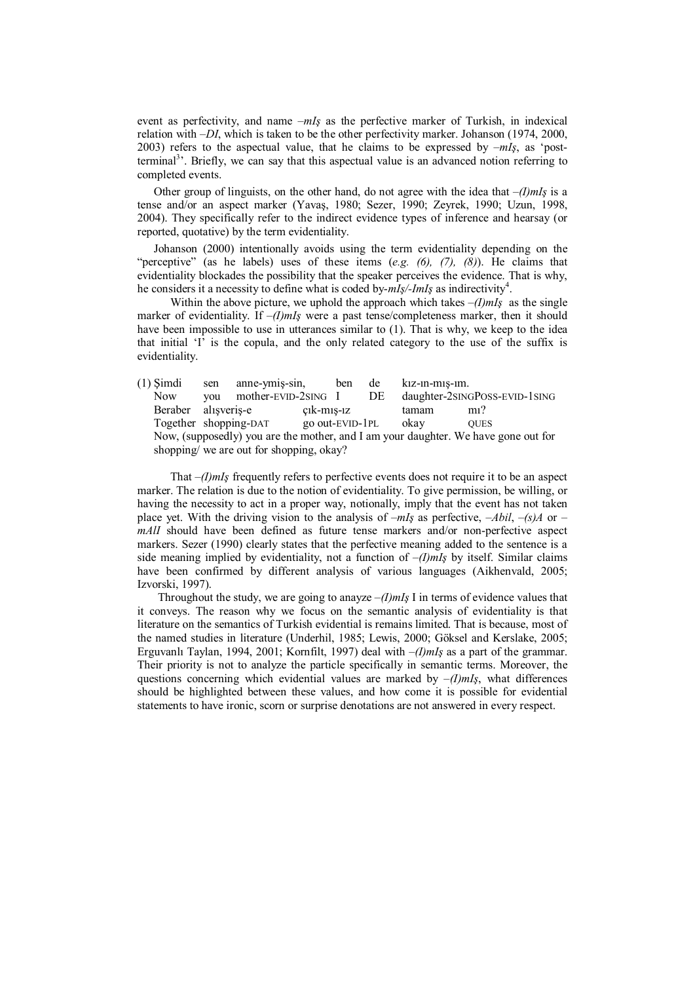event as perfectivity, and name  $-mI<sub>S</sub>$  as the perfective marker of Turkish, in indexical relation with –DI, which is taken to be the other perfectivity marker. Johanson (1974, 2000, 2003) refers to the aspectual value, that he claims to be expressed by  $-mIs$ , as 'postterminal<sup>3</sup>. Briefly, we can say that this aspectual value is an advanced notion referring to completed events.

Other group of linguists, on the other hand, do not agree with the idea that  $-(I)$ mIs is a tense and/or an aspect marker (Yavaş, 1980; Sezer, 1990; Zeyrek, 1990; Uzun, 1998, 2004). They specifically refer to the indirect evidence types of inference and hearsay (or reported, quotative) by the term evidentiality.

Johanson (2000) intentionally avoids using the term evidentiality depending on the "perceptive" (as he labels) uses of these items  $(e.g. (6), (7), (8))$ . He claims that evidentiality blockades the possibility that the speaker perceives the evidence. That is why, he considers it a necessity to define what is coded by- $mI<sub>S</sub>/-ImI<sub>S</sub>$  as indirectivity<sup>4</sup>.

Within the above picture, we uphold the approach which takes  $-(I)$ mIş as the single marker of evidentiality. If  $-(I)$ mI<sub>s</sub> were a past tense/completeness marker, then it should have been impossible to use in utterances similar to (1). That is why, we keep to the idea that initial 'I' is the copula, and the only related category to the use of the suffix is evidentiality.

| $(1)$ Simdi                                                                        | sen | anne-ymis-sin,      |                 | ben | de | kiz-in-mis-im. |                               |  |
|------------------------------------------------------------------------------------|-----|---------------------|-----------------|-----|----|----------------|-------------------------------|--|
| <b>Now</b>                                                                         | vou | mother-EVID-2SING I |                 |     | DE |                | daughter-2sINGPOSS-EVID-1sING |  |
| Beraber alisveris-e                                                                |     |                     | $c1k-m1s-1z$    |     |    | tamam          | $m1$ ?                        |  |
| Together shopping-DAT                                                              |     |                     | go out-EVID-1PL |     |    | okav           | <b>OUES</b>                   |  |
| Now, (supposedly) you are the mother, and I am your daughter. We have gone out for |     |                     |                 |     |    |                |                               |  |
| shopping/ we are out for shopping, okay?                                           |     |                     |                 |     |    |                |                               |  |

That  $-(I)$ mI<sub>s</sub> frequently refers to perfective events does not require it to be an aspect marker. The relation is due to the notion of evidentiality. To give permission, be willing, or having the necessity to act in a proper way, notionally, imply that the event has not taken place yet. With the driving vision to the analysis of  $-mI<sub>s</sub>$  as perfective,  $-Abil$ ,  $-(s)A$  or – mAlI should have been defined as future tense markers and/or non-perfective aspect markers. Sezer (1990) clearly states that the perfective meaning added to the sentence is a side meaning implied by evidentiality, not a function of  $-(I)$ mIs by itself. Similar claims have been confirmed by different analysis of various languages (Aikhenvald, 2005; Izvorski, 1997).

Throughout the study, we are going to anayze  $-(I)$ mIş I in terms of evidence values that it conveys. The reason why we focus on the semantic analysis of evidentiality is that literature on the semantics of Turkish evidential is remains limited. That is because, most of the named studies in literature (Underhil, 1985; Lewis, 2000; Göksel and Kerslake, 2005; Erguvanlı Taylan, 1994, 2001; Kornfilt, 1997) deal with  $-(I)$ mIs as a part of the grammar. Their priority is not to analyze the particle specifically in semantic terms. Moreover, the questions concerning which evidential values are marked by  $-(I)$ mI<sub>s</sub>, what differences should be highlighted between these values, and how come it is possible for evidential statements to have ironic, scorn or surprise denotations are not answered in every respect.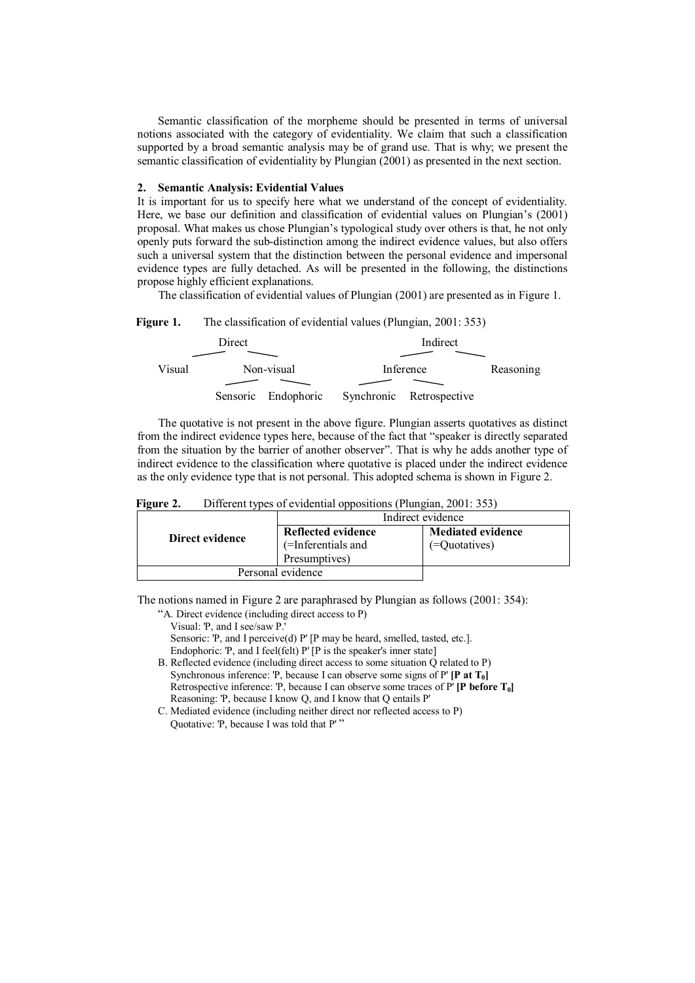Semantic classification of the morpheme should be presented in terms of universal notions associated with the category of evidentiality. We claim that such a classification supported by a broad semantic analysis may be of grand use. That is why; we present the semantic classification of evidentiality by Plungian (2001) as presented in the next section.

## 2. Semantic Analysis: Evidential Values

It is important for us to specify here what we understand of the concept of evidentiality. Here, we base our definition and classification of evidential values on Plungian's (2001) proposal. What makes us chose Plungian's typological study over others is that, he not only openly puts forward the sub-distinction among the indirect evidence values, but also offers such a universal system that the distinction between the personal evidence and impersonal evidence types are fully detached. As will be presented in the following, the distinctions propose highly efficient explanations.

The classification of evidential values of Plungian (2001) are presented as in Figure 1.

### Figure 1. The classification of evidential values (Plungian, 2001: 353)

|        | Direct |                     |           |                          |  |
|--------|--------|---------------------|-----------|--------------------------|--|
|        |        |                     |           |                          |  |
| Visual |        | Non-visual          | Inference | Reasoning                |  |
|        |        |                     |           |                          |  |
|        |        | Sensoric Endophoric |           | Synchronic Retrospective |  |

The quotative is not present in the above figure. Plungian asserts quotatives as distinct from the indirect evidence types here, because of the fact that "speaker is directly separated from the situation by the barrier of another observer". That is why he adds another type of indirect evidence to the classification where quotative is placed under the indirect evidence as the only evidence type that is not personal. This adopted schema is shown in Figure 2.

| Figure 2. | Different types of evidential oppositions (Plungian, 2001: 353) |  |  |  |  |
|-----------|-----------------------------------------------------------------|--|--|--|--|
|-----------|-----------------------------------------------------------------|--|--|--|--|

|                   | Indirect evidence                                         |                                           |  |  |  |
|-------------------|-----------------------------------------------------------|-------------------------------------------|--|--|--|
| Direct evidence   | Reflected evidence<br>(=Inferentials and<br>Presumptives) | <b>Mediated evidence</b><br>(=Quotatives) |  |  |  |
| Personal evidence |                                                           |                                           |  |  |  |

The notions named in Figure 2 are paraphrased by Plungian as follows (2001: 354):

"A. Direct evidence (including direct access to P)

Visual: 'P, and I see/saw P.' Sensoric: 'P, and I perceive(d) P' [P may be heard, smelled, tasted, etc.]. Endophoric: 'P, and I feel(felt) P' [P is the speaker's inner state] B. Reflected evidence (including direct access to some situation Q related to P) Synchronous inference: 'P, because I can observe some signs of P'  $[$ **P** at  $T_0$  $]$ Retrospective inference: 'P, because I can observe some traces of P' [P before T<sub>0</sub>] Reasoning: 'P, because I know Q, and I know that Q entails P'

C. Mediated evidence (including neither direct nor reflected access to P) Quotative: 'P, because I was told that P' "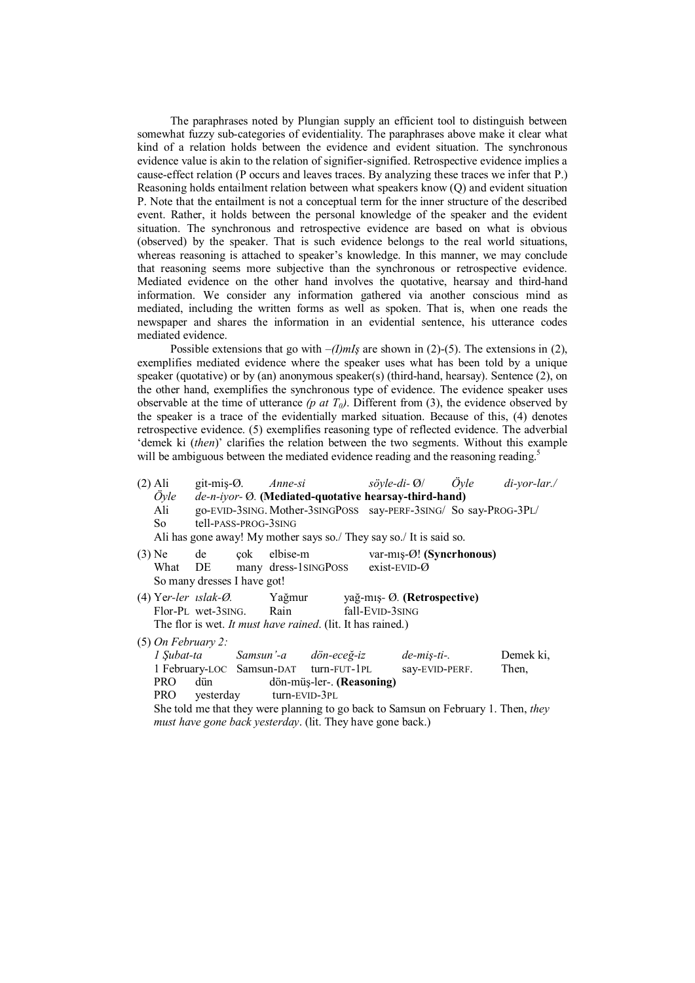The paraphrases noted by Plungian supply an efficient tool to distinguish between somewhat fuzzy sub-categories of evidentiality. The paraphrases above make it clear what kind of a relation holds between the evidence and evident situation. The synchronous evidence value is akin to the relation of signifier-signified. Retrospective evidence implies a cause-effect relation (P occurs and leaves traces. By analyzing these traces we infer that P.) Reasoning holds entailment relation between what speakers know (Q) and evident situation P. Note that the entailment is not a conceptual term for the inner structure of the described event. Rather, it holds between the personal knowledge of the speaker and the evident situation. The synchronous and retrospective evidence are based on what is obvious (observed) by the speaker. That is such evidence belongs to the real world situations, whereas reasoning is attached to speaker's knowledge. In this manner, we may conclude that reasoning seems more subjective than the synchronous or retrospective evidence. Mediated evidence on the other hand involves the quotative, hearsay and third-hand information. We consider any information gathered via another conscious mind as mediated, including the written forms as well as spoken. That is, when one reads the newspaper and shares the information in an evidential sentence, his utterance codes mediated evidence.

Possible extensions that go with  $-(I)$ mIş are shown in (2)-(5). The extensions in (2), exemplifies mediated evidence where the speaker uses what has been told by a unique speaker (quotative) or by (an) anonymous speaker(s) (third-hand, hearsay). Sentence (2), on the other hand, exemplifies the synchronous type of evidence. The evidence speaker uses observable at the time of utterance (p at  $T_0$ ). Different from (3), the evidence observed by the speaker is a trace of the evidentially marked situation. Because of this, (4) denotes retrospective evidence. (5) exemplifies reasoning type of reflected evidence. The adverbial 'demek ki (then)' clarifies the relation between the two segments. Without this example will be ambiguous between the mediated evidence reading and the reasoning reading.<sup>5</sup>

| (2) Ali                                                                                                                                                                  |                      |  |  |  |  |                                                                  |                                                                     |  | git-miş-Ø. Anne-si söyle-di-Ø/ Öyle di-yor-lar./ |  |
|--------------------------------------------------------------------------------------------------------------------------------------------------------------------------|----------------------|--|--|--|--|------------------------------------------------------------------|---------------------------------------------------------------------|--|--------------------------------------------------|--|
| de-n-iyor- Ø. (Mediated-quotative hearsay-third-hand)<br>Öyle                                                                                                            |                      |  |  |  |  |                                                                  |                                                                     |  |                                                  |  |
| Ali                                                                                                                                                                      |                      |  |  |  |  | go-EVID-3SING. Mother-3SINGPOSS say-PERF-3SING/ So say-PROG-3PL/ |                                                                     |  |                                                  |  |
| So and the Soliday of the Soliday of the Soliday of the Soliday of the Soliday of the Soliday of the Soliday o                                                           | tell-pass-prog-3sing |  |  |  |  |                                                                  |                                                                     |  |                                                  |  |
|                                                                                                                                                                          |                      |  |  |  |  |                                                                  | Ali has gone away! My mother says so./ They say so./ It is said so. |  |                                                  |  |
| $(3)$ Ne de çok elbise-m var-mış- $\varnothing$ ! (Syncrhonous)<br>What DE many dress-1sing Poss exist-EVID- $\varnothing$<br>So many dresses I have got!                |                      |  |  |  |  |                                                                  |                                                                     |  |                                                  |  |
| (4) Yer-ler <i>ıslak-Ø</i> . Yağmur yağ-mış-Ø. (Retrospective)<br>Flor-PL wet-3sing. Rain fall-EVID-3sing<br>The flor is wet. It must have rained. (lit. It has rained.) |                      |  |  |  |  |                                                                  |                                                                     |  |                                                  |  |
| $(5)$ On February 2:                                                                                                                                                     |                      |  |  |  |  |                                                                  |                                                                     |  |                                                  |  |
|                                                                                                                                                                          |                      |  |  |  |  |                                                                  | 1 Şubat-ta Samsun'-a dön-eceğ-iz de-miş-ti-.                        |  | Demek ki,                                        |  |
|                                                                                                                                                                          |                      |  |  |  |  |                                                                  | 1 February-LOC Samsun-DAT turn-FUT-1PL say-EVID-PERF.               |  | Then,                                            |  |
| PRO<br>dön-müş-ler-. (Reasoning)<br>dün                                                                                                                                  |                      |  |  |  |  |                                                                  |                                                                     |  |                                                  |  |
| PRO yesterday turn-EVID-3PL                                                                                                                                              |                      |  |  |  |  |                                                                  |                                                                     |  |                                                  |  |
| She told me that they were planning to go back to Samsun on February 1. Then, they                                                                                       |                      |  |  |  |  |                                                                  |                                                                     |  |                                                  |  |
| <i>must have gone back yesterday.</i> (lit. They have gone back.)                                                                                                        |                      |  |  |  |  |                                                                  |                                                                     |  |                                                  |  |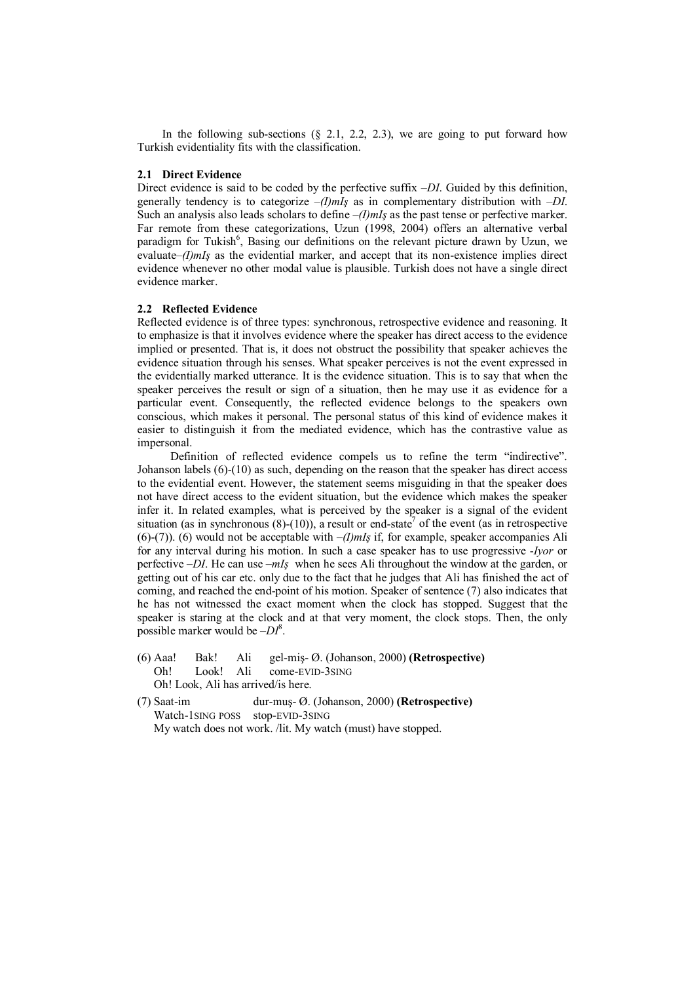In the following sub-sections  $(\S$  2.1, 2.2, 2.3), we are going to put forward how Turkish evidentiality fits with the classification.

### 2.1 Direct Evidence

Direct evidence is said to be coded by the perfective suffix  $-DI$ . Guided by this definition, generally tendency is to categorize  $-(I)$ mIs as in complementary distribution with  $-DI$ . Such an analysis also leads scholars to define  $-(I)$  mIs as the past tense or perfective marker. Far remote from these categorizations, Uzun (1998, 2004) offers an alternative verbal paradigm for Tukish<sup>6</sup>, Basing our definitions on the relevant picture drawn by Uzun, we evaluate– $(1)$ mIs as the evidential marker, and accept that its non-existence implies direct evidence whenever no other modal value is plausible. Turkish does not have a single direct evidence marker.

# 2.2 Reflected Evidence

Reflected evidence is of three types: synchronous, retrospective evidence and reasoning. It to emphasize is that it involves evidence where the speaker has direct access to the evidence implied or presented. That is, it does not obstruct the possibility that speaker achieves the evidence situation through his senses. What speaker perceives is not the event expressed in the evidentially marked utterance. It is the evidence situation. This is to say that when the speaker perceives the result or sign of a situation, then he may use it as evidence for a particular event. Consequently, the reflected evidence belongs to the speakers own conscious, which makes it personal. The personal status of this kind of evidence makes it easier to distinguish it from the mediated evidence, which has the contrastive value as impersonal.

Definition of reflected evidence compels us to refine the term "indirective". Johanson labels (6)-(10) as such, depending on the reason that the speaker has direct access to the evidential event. However, the statement seems misguiding in that the speaker does not have direct access to the evident situation, but the evidence which makes the speaker infer it. In related examples, what is perceived by the speaker is a signal of the evident situation (as in synchronous  $(8)-(10)$ ), a result or end-state<sup>7</sup> of the event (as in retrospective (6)-(7)). (6) would not be acceptable with  $-l$ *mls* if, for example, speaker accompanies Ali for any interval during his motion. In such a case speaker has to use progressive -Iyor or perfective  $-DI$ . He can use  $-mI<sub>S</sub>$  when he sees Ali throughout the window at the garden, or getting out of his car etc. only due to the fact that he judges that Ali has finished the act of coming, and reached the end-point of his motion. Speaker of sentence (7) also indicates that he has not witnessed the exact moment when the clock has stopped. Suggest that the speaker is staring at the clock and at that very moment, the clock stops. Then, the only possible marker would be  $-DI^8$ .

- (6) Aaa! Bak! Ali gel-miş- Ø. (Johanson, 2000) (Retrospective) Oh! Look! Ali come-EVID-3SING Oh! Look, Ali has arrived/is here.
- (7) Saat-im dur-muş- Ø. (Johanson, 2000) (Retrospective) Watch-1SING POSS stop-EVID-3SING My watch does not work. /lit. My watch (must) have stopped.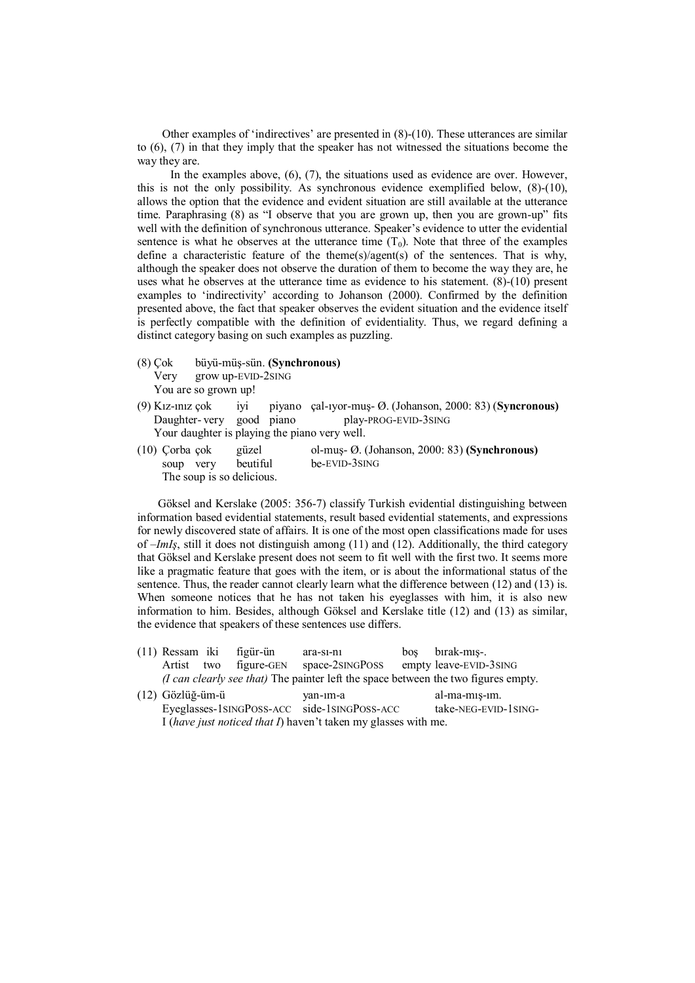Other examples of 'indirectives' are presented in (8)-(10). These utterances are similar to (6), (7) in that they imply that the speaker has not witnessed the situations become the way they are.

In the examples above, (6), (7), the situations used as evidence are over. However, this is not the only possibility. As synchronous evidence exemplified below, (8)-(10), allows the option that the evidence and evident situation are still available at the utterance time. Paraphrasing (8) as "I observe that you are grown up, then you are grown-up" fits well with the definition of synchronous utterance. Speaker's evidence to utter the evidential sentence is what he observes at the utterance time  $(T_0)$ . Note that three of the examples define a characteristic feature of the theme(s)/agent(s) of the sentences. That is why, although the speaker does not observe the duration of them to become the way they are, he uses what he observes at the utterance time as evidence to his statement. (8)-(10) present examples to 'indirectivity' according to Johanson (2000). Confirmed by the definition presented above, the fact that speaker observes the evident situation and the evidence itself is perfectly compatible with the definition of evidentiality. Thus, we regard defining a distinct category basing on such examples as puzzling.

- (8) Çok büyü-müş-sün. (Synchronous) Very grow up-EVID-2SING You are so grown up!
- (9) Kız-ınız çok iyi piyano çal-ıyor-muş- Ø. (Johanson, 2000: 83) (Syncronous) Daughter- very good piano play-PROG-EVID-3SING Your daughter is playing the piano very well.
- (10) Çorba çok güzel ol-muş- Ø. (Johanson, 2000: 83) (Synchronous) soup very beutiful be-EVID-3SING The soup is so delicious.

Göksel and Kerslake (2005: 356-7) classify Turkish evidential distinguishing between information based evidential statements, result based evidential statements, and expressions for newly discovered state of affairs. It is one of the most open classifications made for uses of  $-ImIs$ , still it does not distinguish among (11) and (12). Additionally, the third category that Göksel and Kerslake present does not seem to fit well with the first two. It seems more like a pragmatic feature that goes with the item, or is about the informational status of the sentence. Thus, the reader cannot clearly learn what the difference between (12) and (13) is. When someone notices that he has not taken his eyeglasses with him, it is also new information to him. Besides, although Göksel and Kerslake title (12) and (13) as similar, the evidence that speakers of these sentences use differs.

- (11) Ressam iki figür-ün ara-sı-nı boş bırak-mış-. Artist two figure-GEN space-2SINGPOSS empty leave-EVID-3SING (I can clearly see that) The painter left the space between the two figures empty.
- (12) Gözlüğ-üm-ü yan-ım-a al-ma-mış-ım. Eyeglasses-1SINGPOSS-ACC side-1SINGPOSS-ACC take-NEG-EVID-1SING-I (have just noticed that I) haven't taken my glasses with me.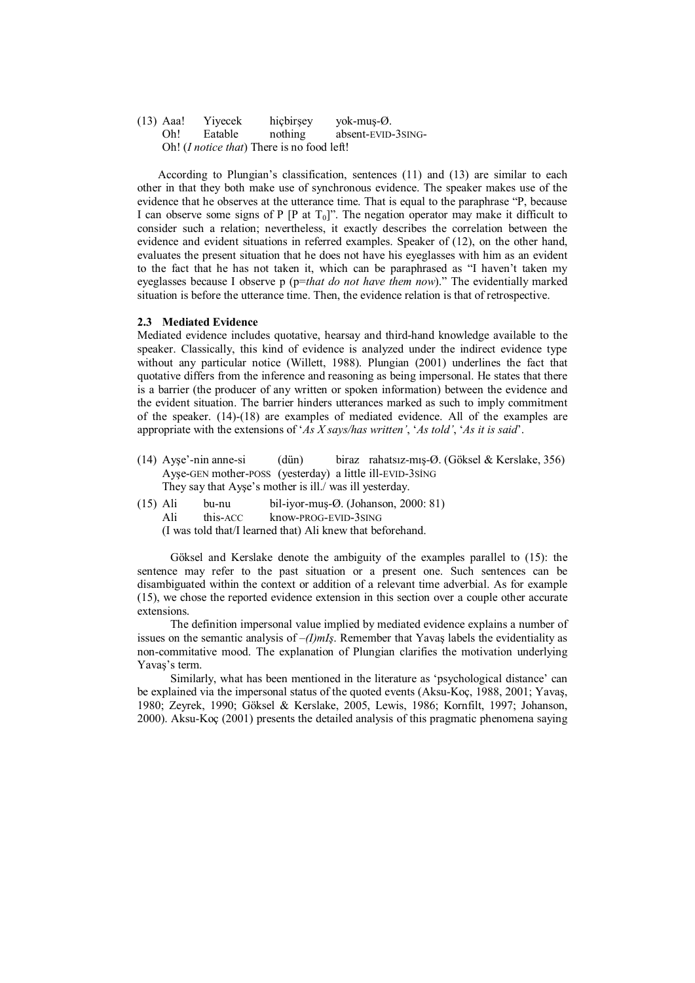(13) Aaa! Yiyecek hiçbirşey yok-muş-Ø. absent-EVID-3SING-Oh! (I notice that) There is no food left!

According to Plungian's classification, sentences (11) and (13) are similar to each other in that they both make use of synchronous evidence. The speaker makes use of the evidence that he observes at the utterance time. That is equal to the paraphrase "P, because I can observe some signs of P [P at  $T_0$ ]". The negation operator may make it difficult to consider such a relation; nevertheless, it exactly describes the correlation between the evidence and evident situations in referred examples. Speaker of (12), on the other hand, evaluates the present situation that he does not have his eyeglasses with him as an evident to the fact that he has not taken it, which can be paraphrased as "I haven't taken my eyeglasses because I observe p (p=that do not have them now)." The evidentially marked situation is before the utterance time. Then, the evidence relation is that of retrospective.

### 2.3 Mediated Evidence

Mediated evidence includes quotative, hearsay and third-hand knowledge available to the speaker. Classically, this kind of evidence is analyzed under the indirect evidence type without any particular notice (Willett, 1988). Plungian (2001) underlines the fact that quotative differs from the inference and reasoning as being impersonal. He states that there is a barrier (the producer of any written or spoken information) between the evidence and the evident situation. The barrier hinders utterances marked as such to imply commitment of the speaker. (14)-(18) are examples of mediated evidence. All of the examples are appropriate with the extensions of 'As X says/has written', 'As told', 'As it is said'.

- (14) Ayşe'-nin anne-si (dün) biraz rahatsız-mış-Ø. (Göksel & Kerslake, 356) Ayşe-GEN mother-POSS (yesterday) a little ill-EVID-3SİNG They say that Ayşe's mother is ill./ was ill yesterday.
- (15) Ali bu-nu bil-iyor-muş-Ø. (Johanson, 2000: 81) Ali this-ACC know-PROG-EVID-3SING

(I was told that/I learned that) Ali knew that beforehand.

Göksel and Kerslake denote the ambiguity of the examples parallel to (15): the sentence may refer to the past situation or a present one. Such sentences can be disambiguated within the context or addition of a relevant time adverbial. As for example (15), we chose the reported evidence extension in this section over a couple other accurate extensions.

The definition impersonal value implied by mediated evidence explains a number of issues on the semantic analysis of  $-(I)$ mIş. Remember that Yavaş labels the evidentiality as non-commitative mood. The explanation of Plungian clarifies the motivation underlying Yavaş's term.

Similarly, what has been mentioned in the literature as 'psychological distance' can be explained via the impersonal status of the quoted events (Aksu-Koç, 1988, 2001; Yavaş, 1980; Zeyrek, 1990; Göksel & Kerslake, 2005, Lewis, 1986; Kornfilt, 1997; Johanson, 2000). Aksu-Koç (2001) presents the detailed analysis of this pragmatic phenomena saying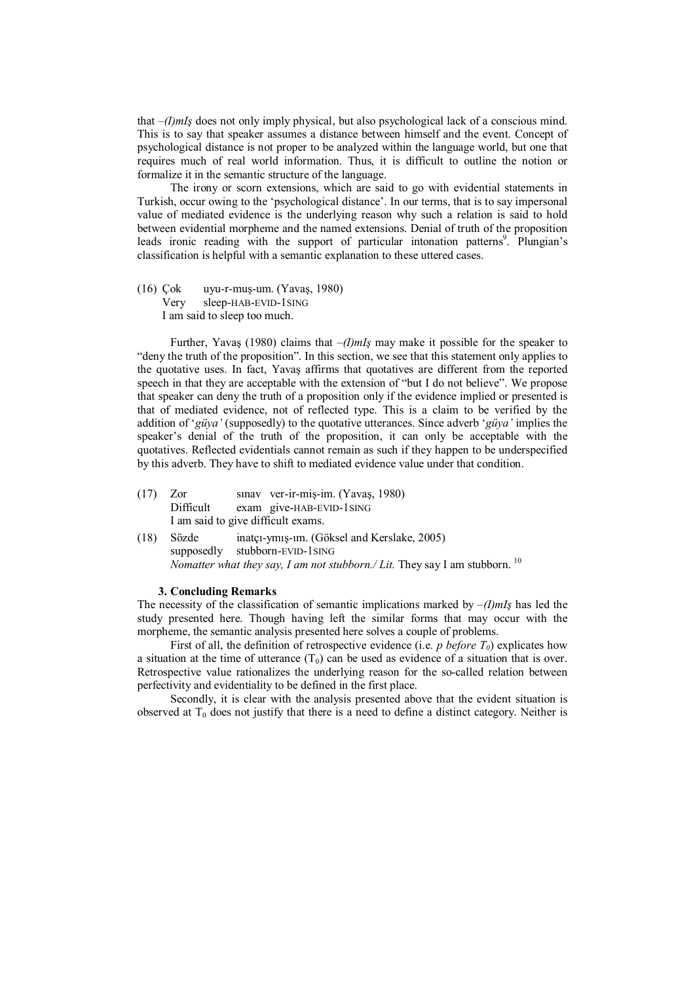that  $-(I)$ mI<sub>s</sub> does not only imply physical, but also psychological lack of a conscious mind. This is to say that speaker assumes a distance between himself and the event. Concept of psychological distance is not proper to be analyzed within the language world, but one that requires much of real world information. Thus, it is difficult to outline the notion or formalize it in the semantic structure of the language.

The irony or scorn extensions, which are said to go with evidential statements in Turkish, occur owing to the 'psychological distance'. In our terms, that is to say impersonal value of mediated evidence is the underlying reason why such a relation is said to hold between evidential morpheme and the named extensions. Denial of truth of the proposition leads ironic reading with the support of particular intonation patterns<sup>9</sup>. Plungian's classification is helpful with a semantic explanation to these uttered cases.

(16) Çok uyu-r-muş-um. (Yavaş, 1980) Very sleep-HAB-EVID-1SING I am said to sleep too much.

Further, Yavaş (1980) claims that  $-(I)$ mIs may make it possible for the speaker to "deny the truth of the proposition". In this section, we see that this statement only applies to the quotative uses. In fact, Yavaş affirms that quotatives are different from the reported speech in that they are acceptable with the extension of "but I do not believe". We propose that speaker can deny the truth of a proposition only if the evidence implied or presented is that of mediated evidence, not of reflected type. This is a claim to be verified by the addition of 'güya' (supposedly) to the quotative utterances. Since adverb 'güya' implies the speaker's denial of the truth of the proposition, it can only be acceptable with the quotatives. Reflected evidentials cannot remain as such if they happen to be underspecified by this adverb. They have to shift to mediated evidence value under that condition.

- (17) Zor sınav ver-ir-miş-im. (Yavaş, 1980) Difficult exam give-HAB-EVID-1SING I am said to give difficult exams.
- (18) Sözde inatçı-ymış-ım. (Göksel and Kerslake, 2005) supposedly stubborn-EVID-1SING Nomatter what they say, I am not stubborn./ Lit. They say I am stubborn.  $^{10}$

# 3. Concluding Remarks

The necessity of the classification of semantic implications marked by  $-(I)$ mIs has led the study presented here. Though having left the similar forms that may occur with the morpheme, the semantic analysis presented here solves a couple of problems.

First of all, the definition of retrospective evidence (i.e. p before  $T_0$ ) explicates how a situation at the time of utterance  $(T_0)$  can be used as evidence of a situation that is over. Retrospective value rationalizes the underlying reason for the so-called relation between perfectivity and evidentiality to be defined in the first place.

Secondly, it is clear with the analysis presented above that the evident situation is observed at  $T_0$  does not justify that there is a need to define a distinct category. Neither is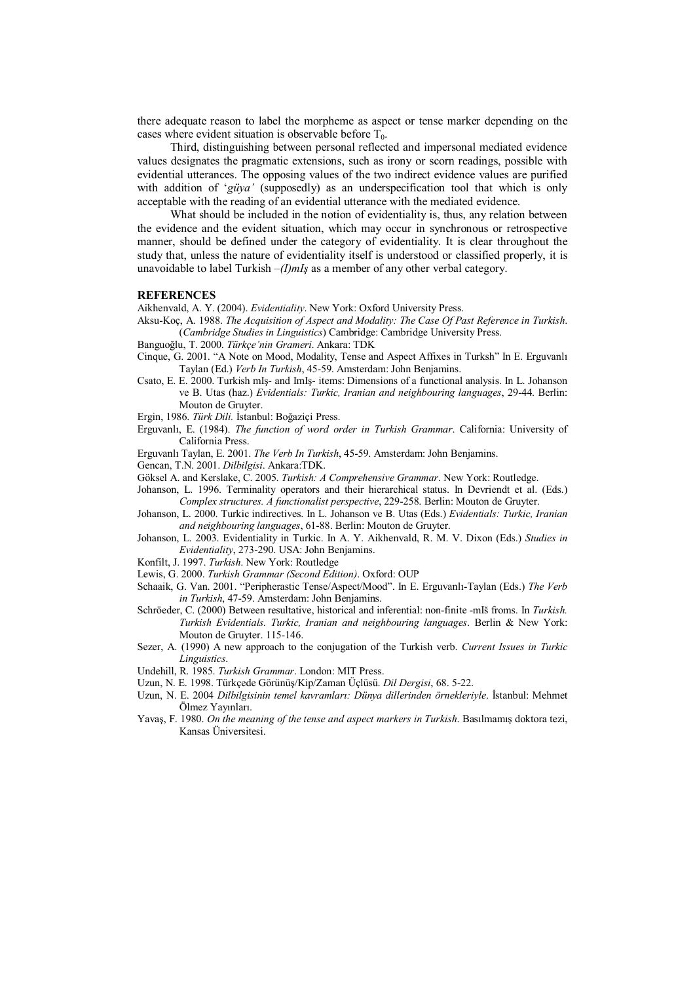there adequate reason to label the morpheme as aspect or tense marker depending on the cases where evident situation is observable before  $T_0$ .

Third, distinguishing between personal reflected and impersonal mediated evidence values designates the pragmatic extensions, such as irony or scorn readings, possible with evidential utterances. The opposing values of the two indirect evidence values are purified with addition of '*güya'* (supposedly) as an underspecification tool that which is only acceptable with the reading of an evidential utterance with the mediated evidence.

What should be included in the notion of evidentiality is, thus, any relation between the evidence and the evident situation, which may occur in synchronous or retrospective manner, should be defined under the category of evidentiality. It is clear throughout the study that, unless the nature of evidentiality itself is understood or classified properly, it is unavoidable to label Turkish  $-(I)$ mIs as a member of any other verbal category.

#### **REFERENCES**

Aikhenvald, A. Y. (2004). Evidentiality. New York: Oxford University Press.

- Aksu-Koç, A. 1988. The Acquisition of Aspect and Modality: The Case Of Past Reference in Turkish. (Cambridge Studies in Linguistics) Cambridge: Cambridge University Press.
- Banguoğlu, T. 2000. Türkçe'nin Grameri. Ankara: TDK
- Cinque, G. 2001. "A Note on Mood, Modality, Tense and Aspect Affixes in Turksh" In E. Erguvanlı Taylan (Ed.) Verb In Turkish, 45-59. Amsterdam: John Benjamins.
- Csato, E. E. 2000. Turkish mIş- and ImIş- items: Dimensions of a functional analysis. In L. Johanson ve B. Utas (haz.) Evidentials: Turkic, Iranian and neighbouring languages, 29-44. Berlin: Mouton de Gruyter.

Ergin, 1986. Türk Dili. İstanbul: Boğaziçi Press.

Erguvanlı, E. (1984). The function of word order in Turkish Grammar. California: University of California Press.

Erguvanlı Taylan, E. 2001. The Verb In Turkish, 45-59. Amsterdam: John Benjamins.

- Gencan, T.N. 2001. Dilbilgisi. Ankara:TDK.
- Göksel A. and Kerslake, C. 2005. Turkish: A Comprehensive Grammar. New York: Routledge.
- Johanson, L. 1996. Terminality operators and their hierarchical status. In Devriendt et al. (Eds.) Complex structures. A functionalist perspective, 229-258. Berlin: Mouton de Gruyter.
- Johanson, L. 2000. Turkic indirectives. In L. Johanson ve B. Utas (Eds.) Evidentials: Turkic, Iranian and neighbouring languages, 61-88. Berlin: Mouton de Gruyter.
- Johanson, L. 2003. Evidentiality in Turkic. In A. Y. Aikhenvald, R. M. V. Dixon (Eds.) Studies in Evidentiality, 273-290. USA: John Benjamins.
- Konfilt, J. 1997. Turkish. New York: Routledge
- Lewis, G. 2000. Turkish Grammar (Second Edition). Oxford: OUP
- Schaaik, G. Van. 2001. "Peripherastic Tense/Aspect/Mood". In E. Erguvanlı-Taylan (Eds.) The Verb in Turkish, 47-59. Amsterdam: John Benjamins.
- Schröeder, C. (2000) Between resultative, historical and inferential: non-finite -mIš froms. In Turkish. Turkish Evidentials. Turkic, Iranian and neighbouring languages. Berlin & New York: Mouton de Gruyter. 115-146.
- Sezer, A. (1990) A new approach to the conjugation of the Turkish verb. Current Issues in Turkic Linguistics.
- Undehill, R. 1985. Turkish Grammar. London: MIT Press.
- Uzun, N. E. 1998. Türkçede Görünüş/Kip/Zaman Üçlüsü. Dil Dergisi, 68. 5-22.
- Uzun, N. E. 2004 Dilbilgisinin temel kavramları: Dünya dillerinden örnekleriyle. İstanbul: Mehmet Ölmez Yayınları.
- Yavaş, F. 1980. On the meaning of the tense and aspect markers in Turkish. Basılmamış doktora tezi, Kansas Üniversitesi.